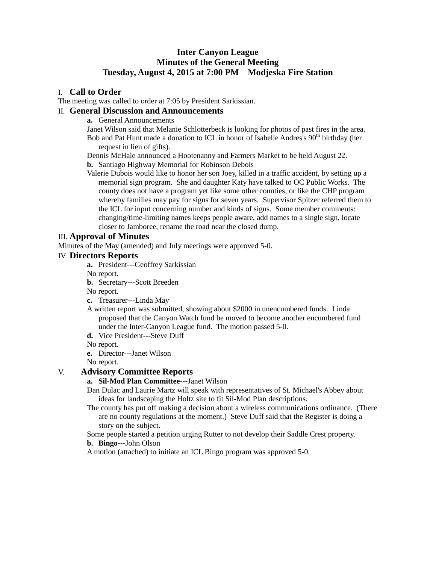# **Inter Canyon League Minutes of the General Meeting Tuesday, August 4, 2015 at 7:00 PM Modjeska Fire Station**

## I. **Call to Order**

The meeting was called to order at 7:05 by President Sarkissian.

# II. **General Discussion and Announcements**

**a.** General Announcements

Janet Wilson said that Melanie Schlotterbeck is looking for photos of past fires in the area. Bob and Pat Hunt made a donation to ICL in honor of Isabelle Andres's  $90<sup>th</sup>$  birthday (her request in lieu of gifts).

Dennis McHale announced a Hootenanny and Farmers Market to be held August 22.

**b.** Santiago Highway Memorial for Robinson Debois

Valerie Dubois would like to honor her son Joey, killed in a traffic accident, by setting up a memorial sign program. She and daughter Katy have talked to OC Public Works. The county does not have a program yet like some other counties, or like the CHP program whereby families may pay for signs for seven years. Supervisor Spitzer referred them to the ICL for input concerning number and kinds of signs. Some member comments: changing/time-limiting names keeps people aware, add names to a single sign, locate closer to Jamboree, rename the road near the closed dump.

## III. **Approval of Minutes**

Minutes of the May (amended) and July meetings were approved 5-0.

## IV. **Directors Reports**

**a.** President---Geoffrey Sarkissian

No report.

**b.** Secretary---Scott Breeden

No report.

**c.** Treasurer---Linda May

A written report was submitted, showing about \$2000 in unencumbered funds. Linda proposed that the Canyon Watch fund be moved to become another encumbered fund under the Inter-Canyon League fund. The motion passed 5-0.

**d.** Vice President---Steve Duff

No report.

**e.** Director---Janet Wilson

No report.

## V. **Advisory Committee Reports**

**a. Sil-Mod Plan Committee---**Janet Wilson

Dan Dulac and Laurie Martz will speak with representatives of St. Michael's Abbey about ideas for landscaping the Holtz site to fit Sil-Mod Plan descriptions.

The county has put off making a decision about a wireless communications ordinance. (There are no county regulations at the moment.) Steve Duff said that the Register is doing a story on the subject.

Some people started a petition urging Rutter to not develop their Saddle Crest property. **b. Bingo---**John Olson

A motion (attached) to initiate an ICL Bingo program was approved 5-0.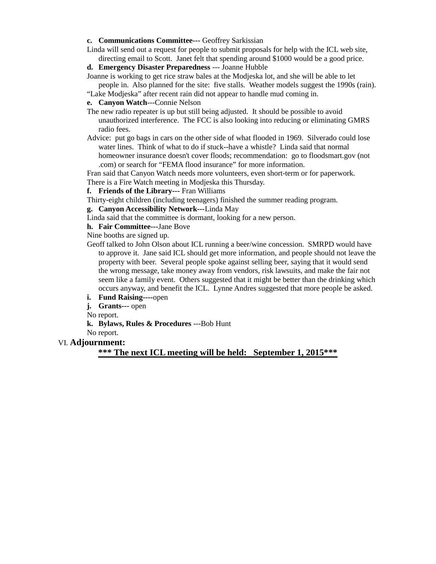### **c. Communications Committee---** Geoffrey Sarkissian

Linda will send out a request for people to submit proposals for help with the ICL web site, directing email to Scott. Janet felt that spending around \$1000 would be a good price.

- **d. Emergency Disaster Preparedness** --- Joanne Hubble
- Joanne is working to get rice straw bales at the Modjeska lot, and she will be able to let people in. Also planned for the site: five stalls. Weather models suggest the 1990s (rain).
- "Lake Modjeska" after recent rain did not appear to handle mud coming in.

**e. Canyon Watch**---Connie Nelson

- The new radio repeater is up but still being adjusted. It should be possible to avoid unauthorized interference. The FCC is also looking into reducing or eliminating GMRS radio fees.
- Advice: put go bags in cars on the other side of what flooded in 1969. Silverado could lose water lines. Think of what to do if stuck--have a whistle? Linda said that normal homeowner insurance doesn't cover floods; recommendation: go to floodsmart.gov (not .com) or search for "FEMA flood insurance" for more information.

Fran said that Canyon Watch needs more volunteers, even short-term or for paperwork. There is a Fire Watch meeting in Modjeska this Thursday.

## **f. Friends of the Library---** Fran Williams

Thirty-eight children (including teenagers) finished the summer reading program.

#### **g. Canyon Accessibility Network---**Linda May

Linda said that the committee is dormant, looking for a new person.

#### **h. Fair Committee---**Jane Bove

Nine booths are signed up.

- Geoff talked to John Olson about ICL running a beer/wine concession. SMRPD would have to approve it. Jane said ICL should get more information, and people should not leave the property with beer. Several people spoke against selling beer, saying that it would send the wrong message, take money away from vendors, risk lawsuits, and make the fair not seem like a family event. Others suggested that it might be better than the drinking which occurs anyway, and benefit the ICL. Lynne Andres suggested that more people be asked.
- **i. Fund Raising----**open
- **j. Grants---** open

No report.

**k. Bylaws, Rules & Procedures** ---Bob Hunt

No report.

### VI. **Adjournment:**

**\*\*\* The next ICL meeting will be held: September 1, 2015\*\*\***